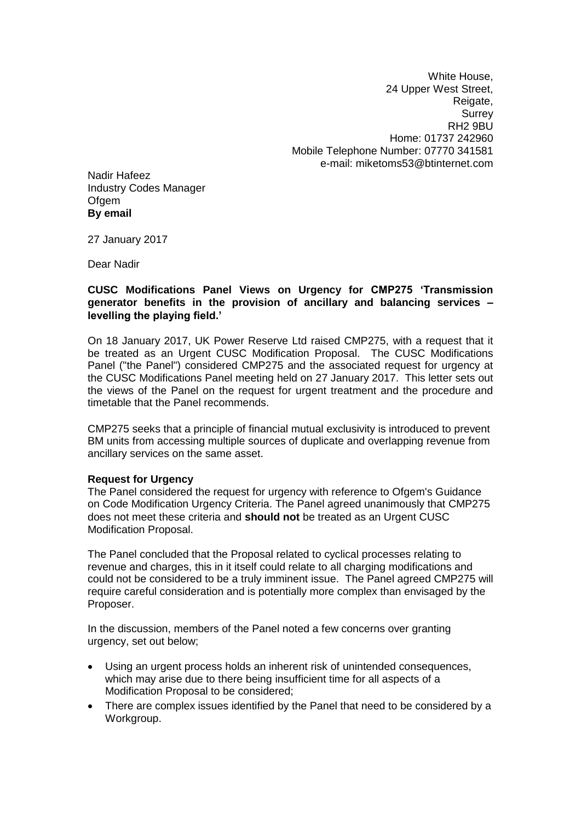White House, 24 Upper West Street, Reigate, **Surrey** RH2 9BU Home: 01737 242960 Mobile Telephone Number: 07770 341581 e-mail: miketoms53@btinternet.com

Nadir Hafeez Industry Codes Manager **Ofgem By email**

27 January 2017

Dear Nadir

### **CUSC Modifications Panel Views on Urgency for CMP275 'Transmission generator benefits in the provision of ancillary and balancing services – levelling the playing field.'**

On 18 January 2017, UK Power Reserve Ltd raised CMP275, with a request that it be treated as an Urgent CUSC Modification Proposal. The CUSC Modifications Panel ("the Panel") considered CMP275 and the associated request for urgency at the CUSC Modifications Panel meeting held on 27 January 2017. This letter sets out the views of the Panel on the request for urgent treatment and the procedure and timetable that the Panel recommends.

CMP275 seeks that a principle of financial mutual exclusivity is introduced to prevent BM units from accessing multiple sources of duplicate and overlapping revenue from ancillary services on the same asset.

#### **Request for Urgency**

The Panel considered the request for urgency with reference to Ofgem's Guidance on Code Modification Urgency Criteria. The Panel agreed unanimously that CMP275 does not meet these criteria and **should not** be treated as an Urgent CUSC Modification Proposal.

The Panel concluded that the Proposal related to cyclical processes relating to revenue and charges, this in it itself could relate to all charging modifications and could not be considered to be a truly imminent issue. The Panel agreed CMP275 will require careful consideration and is potentially more complex than envisaged by the Proposer.

In the discussion, members of the Panel noted a few concerns over granting urgency, set out below;

- Using an urgent process holds an inherent risk of unintended consequences, which may arise due to there being insufficient time for all aspects of a Modification Proposal to be considered;
- There are complex issues identified by the Panel that need to be considered by a Workgroup.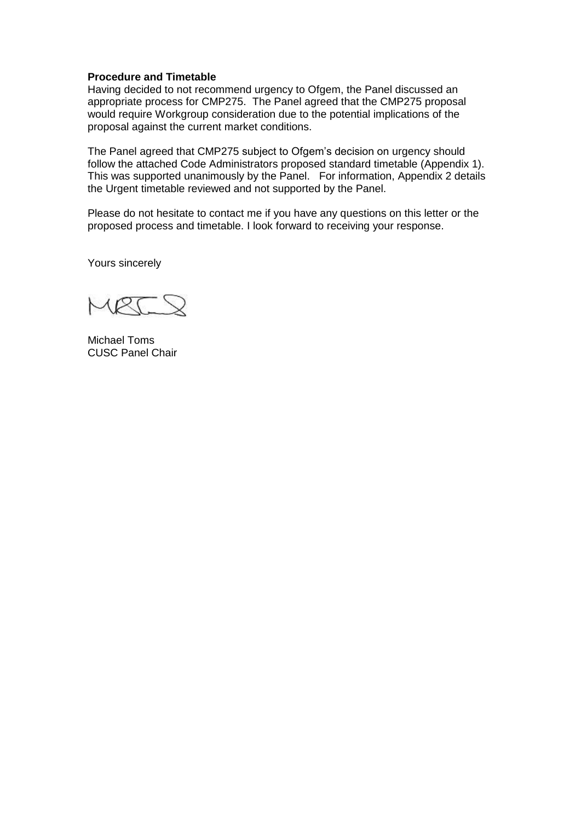### **Procedure and Timetable**

Having decided to not recommend urgency to Ofgem, the Panel discussed an appropriate process for CMP275. The Panel agreed that the CMP275 proposal would require Workgroup consideration due to the potential implications of the proposal against the current market conditions.

The Panel agreed that CMP275 subject to Ofgem's decision on urgency should follow the attached Code Administrators proposed standard timetable (Appendix 1). This was supported unanimously by the Panel. For information, Appendix 2 details the Urgent timetable reviewed and not supported by the Panel.

Please do not hesitate to contact me if you have any questions on this letter or the proposed process and timetable. I look forward to receiving your response.

Yours sincerely

Michael Toms CUSC Panel Chair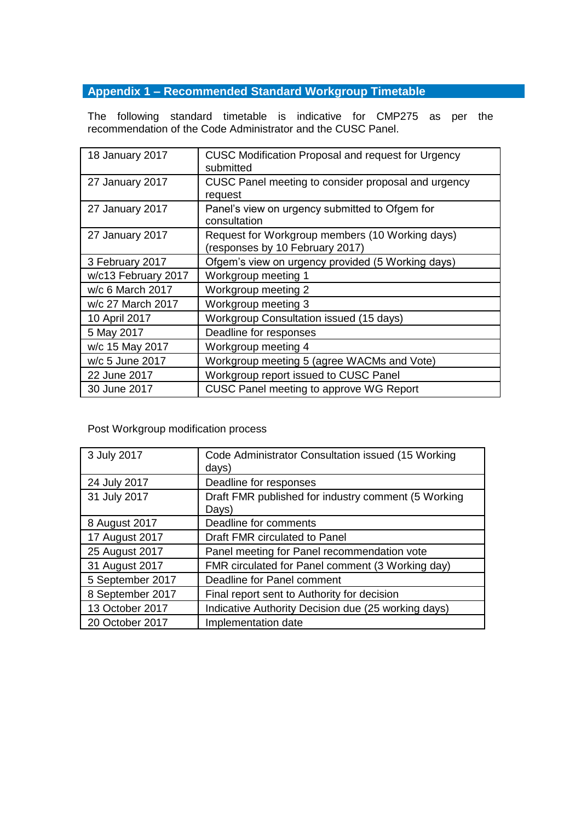# **Appendix 1 – Recommended Standard Workgroup Timetable**

The following standard timetable is indicative for CMP275 as per the recommendation of the Code Administrator and the CUSC Panel.

| 18 January 2017     | <b>CUSC Modification Proposal and request for Urgency</b><br>submitted             |
|---------------------|------------------------------------------------------------------------------------|
| 27 January 2017     | CUSC Panel meeting to consider proposal and urgency<br>request                     |
| 27 January 2017     | Panel's view on urgency submitted to Ofgem for<br>consultation                     |
| 27 January 2017     | Request for Workgroup members (10 Working days)<br>(responses by 10 February 2017) |
| 3 February 2017     | Ofgem's view on urgency provided (5 Working days)                                  |
| w/c13 February 2017 | Workgroup meeting 1                                                                |
| w/c 6 March 2017    | Workgroup meeting 2                                                                |
| w/c 27 March 2017   | Workgroup meeting 3                                                                |
| 10 April 2017       | <b>Workgroup Consultation issued (15 days)</b>                                     |
| 5 May 2017          | Deadline for responses                                                             |
| w/c 15 May 2017     | Workgroup meeting 4                                                                |
| w/c 5 June 2017     | Workgroup meeting 5 (agree WACMs and Vote)                                         |
| 22 June 2017        | Workgroup report issued to CUSC Panel                                              |
| 30 June 2017        | CUSC Panel meeting to approve WG Report                                            |

Post Workgroup modification process

| 3 July 2017      | Code Administrator Consultation issued (15 Working<br>days)  |
|------------------|--------------------------------------------------------------|
| 24 July 2017     | Deadline for responses                                       |
| 31 July 2017     | Draft FMR published for industry comment (5 Working<br>Days) |
| 8 August 2017    | Deadline for comments                                        |
| 17 August 2017   | Draft FMR circulated to Panel                                |
| 25 August 2017   | Panel meeting for Panel recommendation vote                  |
| 31 August 2017   | FMR circulated for Panel comment (3 Working day)             |
| 5 September 2017 | Deadline for Panel comment                                   |
| 8 September 2017 | Final report sent to Authority for decision                  |
| 13 October 2017  | Indicative Authority Decision due (25 working days)          |
| 20 October 2017  | Implementation date                                          |